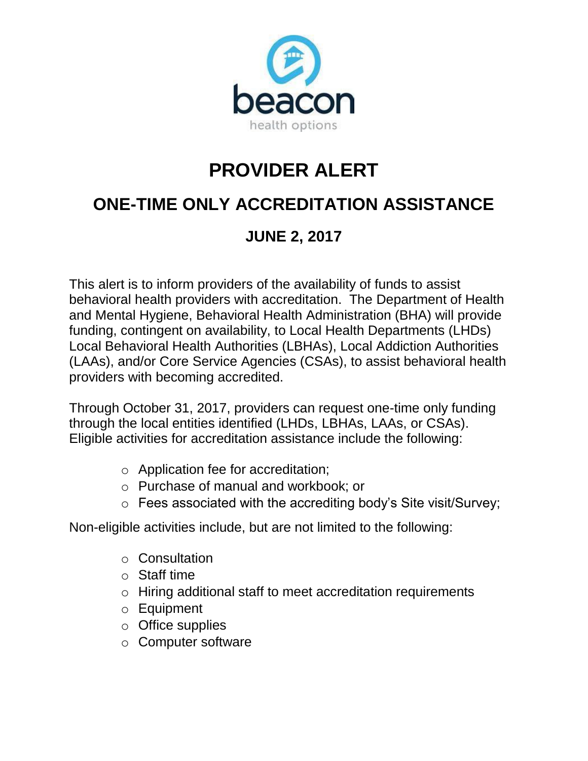

## **PROVIDER ALERT**

## **ONE-TIME ONLY ACCREDITATION ASSISTANCE**

## **JUNE 2, 2017**

This alert is to inform providers of the availability of funds to assist behavioral health providers with accreditation. The Department of Health and Mental Hygiene, Behavioral Health Administration (BHA) will provide funding, contingent on availability, to Local Health Departments (LHDs) Local Behavioral Health Authorities (LBHAs), Local Addiction Authorities (LAAs), and/or Core Service Agencies (CSAs), to assist behavioral health providers with becoming accredited.

Through October 31, 2017, providers can request one-time only funding through the local entities identified (LHDs, LBHAs, LAAs, or CSAs). Eligible activities for accreditation assistance include the following:

- o Application fee for accreditation;
- o Purchase of manual and workbook; or
- o Fees associated with the accrediting body's Site visit/Survey;

Non-eligible activities include, but are not limited to the following:

- o Consultation
- o Staff time
- o Hiring additional staff to meet accreditation requirements
- o Equipment
- o Office supplies
- o Computer software